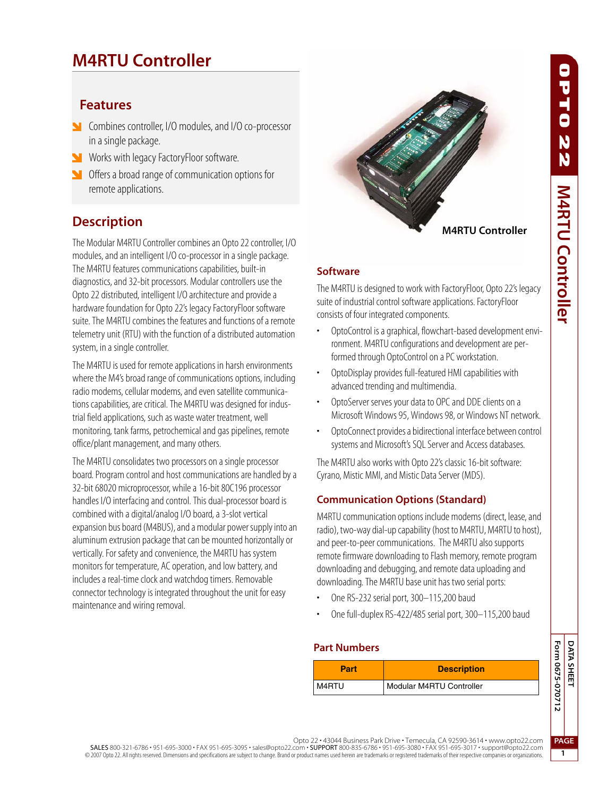# **M4RTU Controller**

### **Features**

- **N** Combines controller, I/O modules, and I/O co-processor in a single package.
- **Works with legacy FactoryFloor software.**
- Offers a broad range of communication options for remote applications.

# **Description**

The Modular M4RTU Controller combines an Opto 22 controller, I/O modules, and an intelligent I/O co-processor in a single package. The M4RTU features communications capabilities, built-in diagnostics, and 32-bit processors. Modular controllers use the Opto 22 distributed, intelligent I/O architecture and provide a hardware foundation for Opto 22's legacy FactoryFloor software suite. The M4RTU combines the features and functions of a remote telemetry unit (RTU) with the function of a distributed automation system, in a single controller.

The M4RTU is used for remote applications in harsh environments where the M4's broad range of communications options, including radio modems, cellular modems, and even satellite communications capabilities, are critical. The M4RTU was designed for industrial field applications, such as waste water treatment, well monitoring, tank farms, petrochemical and gas pipelines, remote office/plant management, and many others.

The M4RTU consolidates two processors on a single processor board. Program control and host communications are handled by a 32-bit 68020 microprocessor, while a 16-bit 80C196 processor handles I/O interfacing and control. This dual-processor board is combined with a digital/analog I/O board, a 3-slot vertical expansion bus board (M4BUS), and a modular power supply into an aluminum extrusion package that can be mounted horizontally or vertically. For safety and convenience, the M4RTU has system monitors for temperature, AC operation, and low battery, and includes a real-time clock and watchdog timers. Removable connector technology is integrated throughout the unit for easy maintenance and wiring removal.



#### **Software**

The M4RTU is designed to work with FactoryFloor, Opto 22's legacy suite of industrial control software applications. FactoryFloor consists of four integrated components.

- OptoControl is a graphical, flowchart-based development environment. M4RTU configurations and development are performed through OptoControl on a PC workstation.
- OptoDisplay provides full-featured HMI capabilities with advanced trending and multimendia.
- OptoServer serves your data to OPC and DDE clients on a Microsoft Windows 95, Windows 98, or Windows NT network.
- OptoConnect provides a bidirectional interface between control systems and Microsoft's SQL Server and Access databases.

The M4RTU also works with Opto 22's classic 16-bit software: Cyrano, Mistic MMI, and Mistic Data Server (MDS).

### **Communication Options (Standard)**

M4RTU communication options include modems (direct, lease, and radio), two-way dial-up capability (host to M4RTU, M4RTU to host), and peer-to-peer communications. The M4RTU also supports remote firmware downloading to Flash memory, remote program downloading and debugging, and remote data uploading and downloading. The M4RTU base unit has two serial ports:

- One RS-232 serial port, 300–115,200 baud
- One full-duplex RS-422/485 serial port, 300–115,200 baud

#### **Part Numbers**

| Part    | <b>Description</b>       |
|---------|--------------------------|
| I M4RTU | Modular M4RTU Controller |

J

ő

N  $\ddot{\textbf{N}}$ 

**M4RTU Controller** 

**PAGE 1**

Opto 22 • 43044 Business Park Drive • Temecula, CA 92590-3614 • www.opto22.com

SALES 800-321-6786 • 951-695-3000 • FAX 951-695-3095 • sales@opto22.com • SUPPORT 800-835-6786 • 951-695-3080 • FAX 951-695-3017 • support@opto22.com © 2007 Opto 22. All rights reserved. Dimensions and specifications are subject to change. Brand or product names used herein are trademarks or registered trademarks of their respective companies or organizations.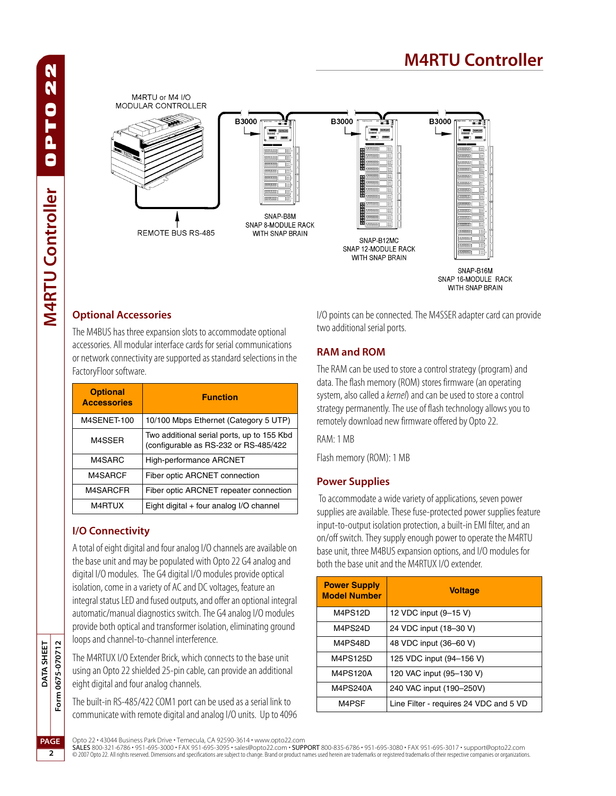# **M4RTU Controller**

#### M4RTLL or M4 I/O MODULAR CONTROLLER **B3000 B3000 B3000** 88888 mm man SNAP-B8M SNAP 8-MODULE RACK **ROCKER** REMOTE BUS RS-485 WITH SNAP BRAIN 999999 SNAP-B12MC aanoo SNAP 12-MODULE RACK WITH SNAP BRAIN SNAP-B16M

#### SNAP 16-MODULE RACK WITH SNAP BRAIN

#### **Optional Accessories**

The M4BUS has three expansion slots to accommodate optional accessories. All modular interface cards for serial communications or network connectivity are supported as standard selections in the FactoryFloor software.

| <b>Optional</b><br><b>Accessories</b> | <b>Function</b>                                                                     |
|---------------------------------------|-------------------------------------------------------------------------------------|
| M4SENET-100                           | 10/100 Mbps Ethernet (Category 5 UTP)                                               |
| M4SSER                                | Two additional serial ports, up to 155 Kbd<br>(configurable as RS-232 or RS-485/422 |
| M4SARC                                | High-performance ARCNET                                                             |
| M4SARCF                               | Fiber optic ARCNET connection                                                       |
| M4SARCFR                              | Fiber optic ARCNET repeater connection                                              |
| M4RTUX                                | Eight digital + four analog I/O channel                                             |

### **I/O Connectivity**

A total of eight digital and four analog I/O channels are available on the base unit and may be populated with Opto 22 G4 analog and digital I/O modules. The G4 digital I/O modules provide optical isolation, come in a variety of AC and DC voltages, feature an integral status LED and fused outputs, and offer an optional integral automatic/manual diagnostics switch. The G4 analog I/O modules provide both optical and transformer isolation, eliminating ground loops and channel-to-channel interference.

The M4RTUX I/O Extender Brick, which connects to the base unit using an Opto 22 shielded 25-pin cable, can provide an additional eight digital and four analog channels.

The built-in RS-485/422 COM1 port can be used as a serial link to communicate with remote digital and analog I/O units. Up to 4096 I/O points can be connected. The M4SSER adapter card can provide two additional serial ports.

#### **RAM and ROM**

The RAM can be used to store a control strategy (program) and data. The flash memory (ROM) stores firmware (an operating system, also called a *kernel*) and can be used to store a control strategy permanently. The use of flash technology allows you to remotely download new firmware offered by Opto 22.

RAM: 1 MB

Flash memory (ROM): 1 MB

#### **Power Supplies**

 To accommodate a wide variety of applications, seven power supplies are available. These fuse-protected power supplies feature input-to-output isolation protection, a built-in EMI filter, and an on/off switch. They supply enough power to operate the M4RTU base unit, three M4BUS expansion options, and I/O modules for both the base unit and the M4RTUX I/O extender.

| <b>Power Supply</b><br><b>Model Number</b> | <b>Voltage</b>                         |
|--------------------------------------------|----------------------------------------|
| M4PS12D                                    | 12 VDC input (9-15 V)                  |
| M4PS24D                                    | 24 VDC input (18-30 V)                 |
| M4PS48D                                    | 48 VDC input (36-60 V)                 |
| M4PS125D                                   | 125 VDC input (94-156 V)               |
| M4PS120A                                   | 120 VAC input (95-130 V)               |
| M4PS240A                                   | 240 VAC input (190-250V)               |
| M4PSF                                      | Line Filter - requires 24 VDC and 5 VD |

Opto 22 • 43044 Business Park Drive • Temecula, CA 92590-3614 • www.opto22.com

**SALES** 800-321-6786 • 951-695-3000 • FAX 951-695-3095 • sales@opto22.com • **SUPPORT** 800-835-6786 • 951-695-3080 • FAX 951-695-3017 • support@opto22.com<br>© 2007 Opto 22. All rights reserved. Dimensions and specifications

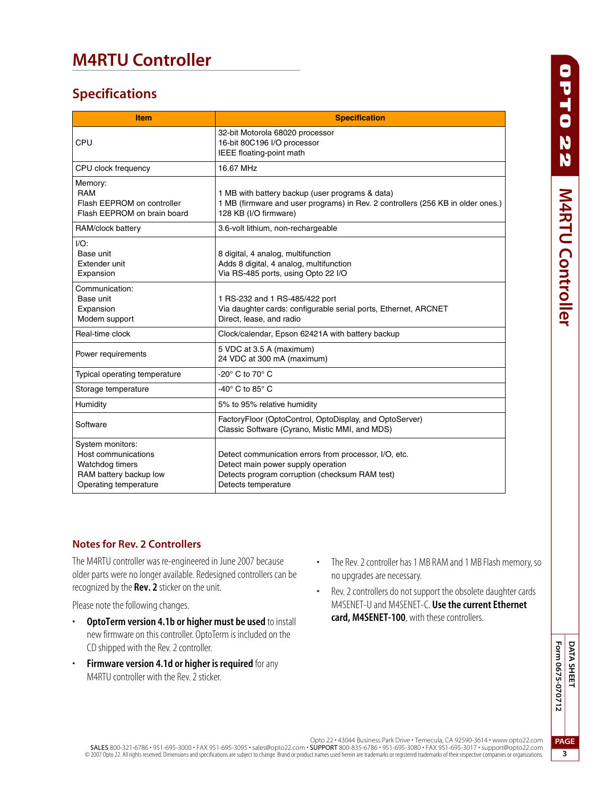# **M4RTU Controller**

## **Specifications**

| <b>Item</b>                                                                                                   | <b>Specification</b>                                                                                                                                                 |
|---------------------------------------------------------------------------------------------------------------|----------------------------------------------------------------------------------------------------------------------------------------------------------------------|
| CPU                                                                                                           | 32-bit Motorola 68020 processor<br>16-bit 80C196 I/O processor<br>IEEE floating-point math                                                                           |
| CPU clock frequency                                                                                           | 16.67 MHz                                                                                                                                                            |
| Memory:<br>RAM<br>Flash EEPROM on controller<br>Flash EEPROM on brain board                                   | 1 MB with battery backup (user programs & data)<br>1 MB (firmware and user programs) in Rev. 2 controllers (256 KB in older ones.)<br>128 KB (I/O firmware)          |
| RAM/clock battery                                                                                             | 3.6-volt lithium, non-rechargeable                                                                                                                                   |
| $I/O$ :<br>Base unit<br>Extender unit<br>Expansion                                                            | 8 digital, 4 analog, multifunction<br>Adds 8 digital, 4 analog, multifunction<br>Via RS-485 ports, using Opto 22 I/O                                                 |
| Communication:<br>Base unit<br>Expansion<br>Modem support                                                     | 1 RS-232 and 1 RS-485/422 port<br>Via daughter cards: configurable serial ports, Ethernet, ARCNET<br>Direct, lease, and radio                                        |
| Real-time clock                                                                                               | Clock/calendar, Epson 62421A with battery backup                                                                                                                     |
| Power requirements                                                                                            | 5 VDC at 3.5 A (maximum)<br>24 VDC at 300 mA (maximum)                                                                                                               |
| Typical operating temperature                                                                                 | -20 $^{\circ}$ C to 70 $^{\circ}$ C                                                                                                                                  |
| Storage temperature                                                                                           | -40° C to 85° C                                                                                                                                                      |
| Humidity                                                                                                      | 5% to 95% relative humidity                                                                                                                                          |
| Software                                                                                                      | FactoryFloor (OptoControl, OptoDisplay, and OptoServer)<br>Classic Software (Cyrano, Mistic MMI, and MDS)                                                            |
| System monitors:<br>Host communications<br>Watchdog timers<br>RAM battery backup low<br>Operating temperature | Detect communication errors from processor, I/O, etc.<br>Detect main power supply operation<br>Detects program corruption (checksum RAM test)<br>Detects temperature |

#### **Notes for Rev. 2 Controllers**

The M4RTU controller was re-engineered in June 2007 because older parts were no longer available. Redesigned controllers can be recognized by the **Rev. 2** sticker on the unit.

Please note the following changes.

- **OptoTerm version 4.1b or higher must be used** to install new firmware on this controller. OptoTerm is included on the CD shipped with the Rev. 2 controller.
- **Firmware version 4.1d or higher is required** for any M4RTU controller with the Rev. 2 sticker.
- The Rev. 2 controller has 1 MB RAM and 1 MB Flash memory, so no upgrades are necessary.
- Rev. 2 controllers do not support the obsolete daughter cards M4SENET-U and M4SENET-C. **Use the current Ethernet card, M4SENET-100**, with these controllers.

**3**

Opto 22 • 43044 Business Park Drive • Temecula, CA 92590-3614 • www.opto22.com

SALES 800-321-6786 • 951-695-3000 • FAX 951-695-3095 • sales@opto22.com • SUPPORT 800-835-6786 • 951-695-3080 • FAX 951-695-3017 • support@opto22.com<br>© 2007 Opto 22. All rights reserved. Dimensions and specifications are s